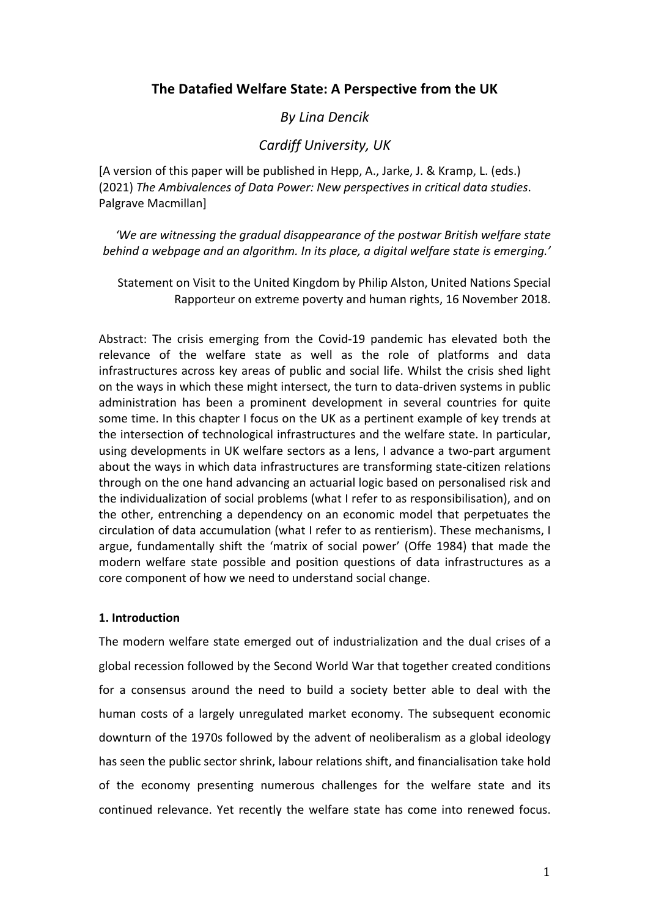# **The Datafied Welfare State: A Perspective from the UK**

# *By Lina Dencik*

## *Cardiff University, UK*

[A version of this paper will be published in Hepp, A., Jarke, J. & Kramp, L. (eds.) (2021) *The Ambivalences of Data Power: New perspectives in critical data studies*. Palgrave Macmillan]

*'We are witnessing the gradual disappearance of the postwar British welfare state behind a webpage and an algorithm. In its place, a digital welfare state is emerging.'*

Statement on Visit to the United Kingdom by Philip Alston, United Nations Special Rapporteur on extreme poverty and human rights, 16 November 2018.

Abstract: The crisis emerging from the Covid-19 pandemic has elevated both the relevance of the welfare state as well as the role of platforms and data infrastructures across key areas of public and social life. Whilst the crisis shed light on the ways in which these might intersect, the turn to data-driven systems in public administration has been a prominent development in several countries for quite some time. In this chapter I focus on the UK as a pertinent example of key trends at the intersection of technological infrastructures and the welfare state. In particular, using developments in UK welfare sectors as a lens, I advance a two-part argument about the ways in which data infrastructures are transforming state-citizen relations through on the one hand advancing an actuarial logic based on personalised risk and the individualization of social problems (what I refer to as responsibilisation), and on the other, entrenching a dependency on an economic model that perpetuates the circulation of data accumulation (what I refer to as rentierism). These mechanisms, I argue, fundamentally shift the 'matrix of social power' (Offe 1984) that made the modern welfare state possible and position questions of data infrastructures as a core component of how we need to understand social change.

### **1. Introduction**

The modern welfare state emerged out of industrialization and the dual crises of a global recession followed by the Second World War that together created conditions for a consensus around the need to build a society better able to deal with the human costs of a largely unregulated market economy. The subsequent economic downturn of the 1970s followed by the advent of neoliberalism as a global ideology has seen the public sector shrink, labour relations shift, and financialisation take hold of the economy presenting numerous challenges for the welfare state and its continued relevance. Yet recently the welfare state has come into renewed focus.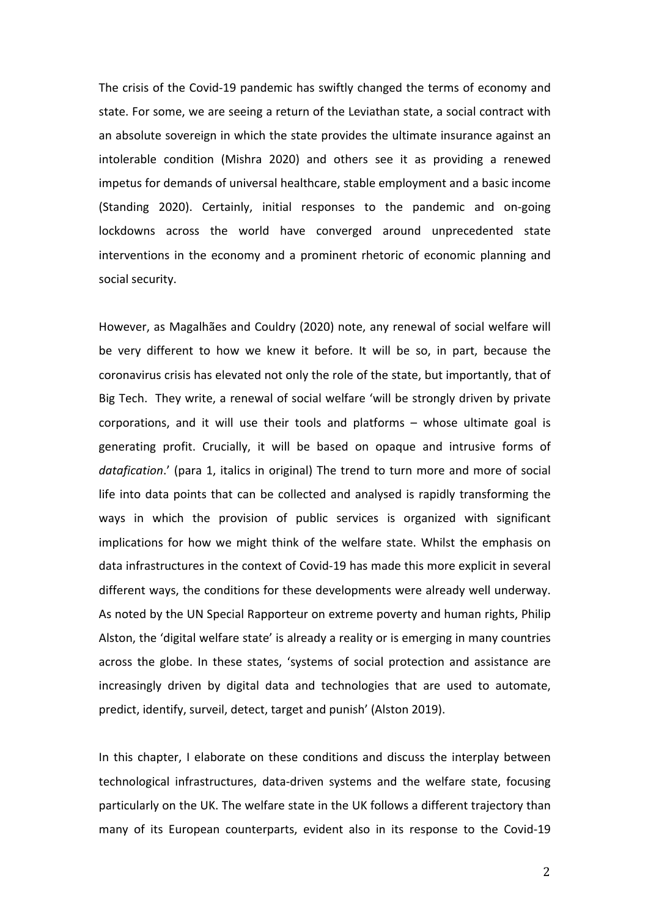The crisis of the Covid-19 pandemic has swiftly changed the terms of economy and state. For some, we are seeing a return of the Leviathan state, a social contract with an absolute sovereign in which the state provides the ultimate insurance against an intolerable condition (Mishra 2020) and others see it as providing a renewed impetus for demands of universal healthcare, stable employment and a basic income (Standing 2020). Certainly, initial responses to the pandemic and on-going lockdowns across the world have converged around unprecedented state interventions in the economy and a prominent rhetoric of economic planning and social security.

However, as Magalhães and Couldry (2020) note, any renewal of social welfare will be very different to how we knew it before. It will be so, in part, because the coronavirus crisis has elevated not only the role of the state, but importantly, that of Big Tech. They write, a renewal of social welfare 'will be strongly driven by private corporations, and it will use their tools and platforms – whose ultimate goal is generating profit. Crucially, it will be based on opaque and intrusive forms of *datafication*.' (para 1, italics in original) The trend to turn more and more of social life into data points that can be collected and analysed is rapidly transforming the ways in which the provision of public services is organized with significant implications for how we might think of the welfare state. Whilst the emphasis on data infrastructures in the context of Covid-19 has made this more explicit in several different ways, the conditions for these developments were already well underway. As noted by the UN Special Rapporteur on extreme poverty and human rights, Philip Alston, the 'digital welfare state' is already a reality or is emerging in many countries across the globe. In these states, 'systems of social protection and assistance are increasingly driven by digital data and technologies that are used to automate, predict, identify, surveil, detect, target and punish' (Alston 2019).

In this chapter, I elaborate on these conditions and discuss the interplay between technological infrastructures, data-driven systems and the welfare state, focusing particularly on the UK. The welfare state in the UK follows a different trajectory than many of its European counterparts, evident also in its response to the Covid-19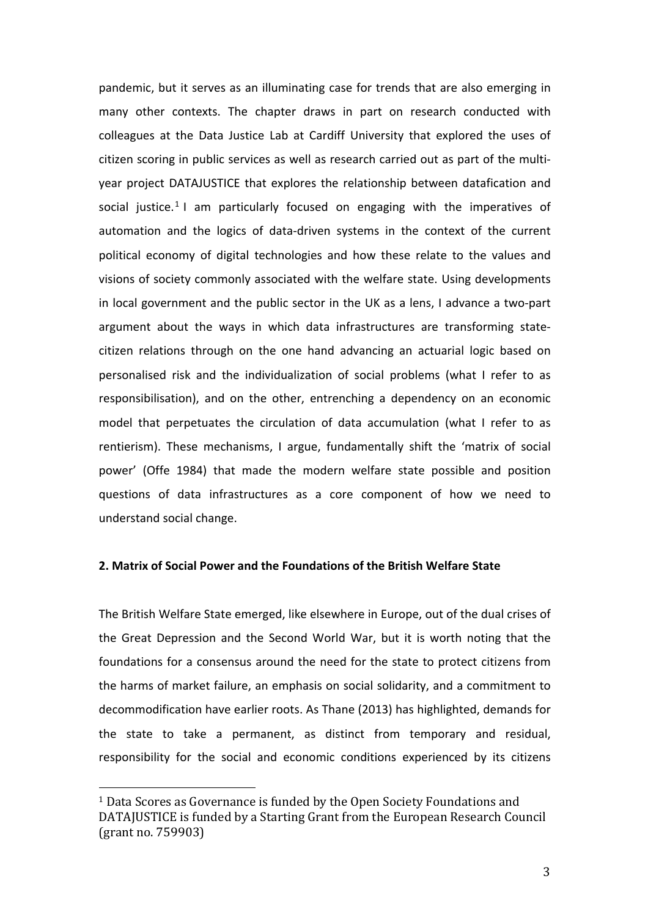pandemic, but it serves as an illuminating case for trends that are also emerging in many other contexts. The chapter draws in part on research conducted with colleagues at the Data Justice Lab at Cardiff University that explored the uses of citizen scoring in public services as well as research carried out as part of the multiyear project DATAJUSTICE that explores the relationship between datafication and social justice.<sup>1</sup> I am particularly focused on engaging with the imperatives of automation and the logics of data-driven systems in the context of the current political economy of digital technologies and how these relate to the values and visions of society commonly associated with the welfare state. Using developments in local government and the public sector in the UK as a lens, I advance a two-part argument about the ways in which data infrastructures are transforming statecitizen relations through on the one hand advancing an actuarial logic based on personalised risk and the individualization of social problems (what I refer to as responsibilisation), and on the other, entrenching a dependency on an economic model that perpetuates the circulation of data accumulation (what I refer to as rentierism). These mechanisms, I argue, fundamentally shift the 'matrix of social power' (Offe 1984) that made the modern welfare state possible and position questions of data infrastructures as a core component of how we need to understand social change.

## **2. Matrix of Social Power and the Foundations of the British Welfare State**

The British Welfare State emerged, like elsewhere in Europe, out of the dual crises of the Great Depression and the Second World War, but it is worth noting that the foundations for a consensus around the need for the state to protect citizens from the harms of market failure, an emphasis on social solidarity, and a commitment to decommodification have earlier roots. As Thane (2013) has highlighted, demands for the state to take a permanent, as distinct from temporary and residual, responsibility for the social and economic conditions experienced by its citizens

<sup>&</sup>lt;sup>1</sup> Data Scores as Governance is funded by the Open Society Foundations and DATAJUSTICE is funded by a Starting Grant from the European Research Council (grant no. 759903)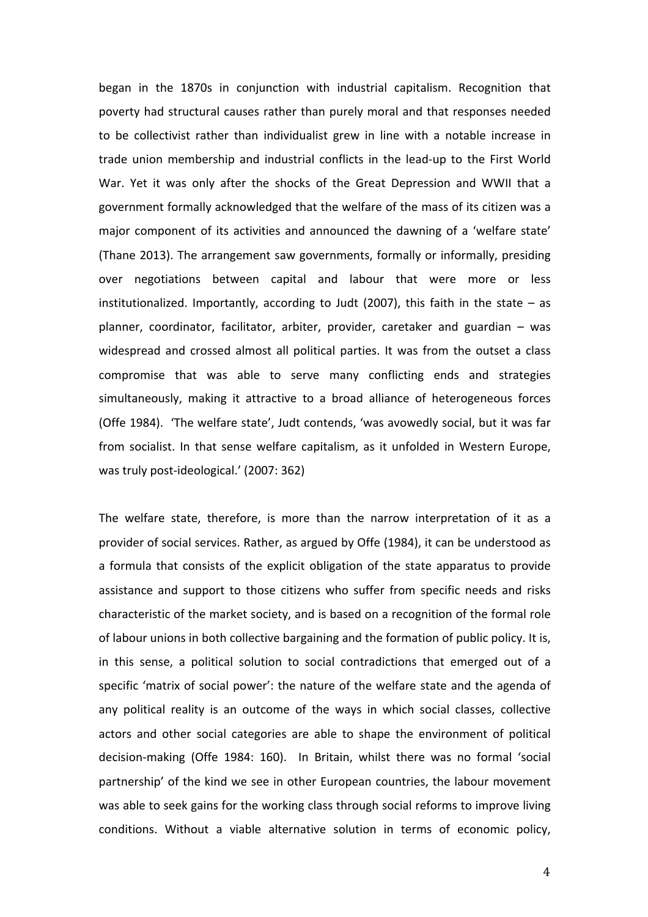began in the 1870s in conjunction with industrial capitalism. Recognition that poverty had structural causes rather than purely moral and that responses needed to be collectivist rather than individualist grew in line with a notable increase in trade union membership and industrial conflicts in the lead-up to the First World War. Yet it was only after the shocks of the Great Depression and WWII that a government formally acknowledged that the welfare of the mass of its citizen was a major component of its activities and announced the dawning of a 'welfare state' (Thane 2013). The arrangement saw governments, formally or informally, presiding over negotiations between capital and labour that were more or less institutionalized. Importantly, according to Judt (2007), this faith in the state – as planner, coordinator, facilitator, arbiter, provider, caretaker and guardian – was widespread and crossed almost all political parties. It was from the outset a class compromise that was able to serve many conflicting ends and strategies simultaneously, making it attractive to a broad alliance of heterogeneous forces (Offe 1984). 'The welfare state', Judt contends, 'was avowedly social, but it was far from socialist. In that sense welfare capitalism, as it unfolded in Western Europe, was truly post-ideological.' (2007: 362)

The welfare state, therefore, is more than the narrow interpretation of it as a provider of social services. Rather, as argued by Offe (1984), it can be understood as a formula that consists of the explicit obligation of the state apparatus to provide assistance and support to those citizens who suffer from specific needs and risks characteristic of the market society, and is based on a recognition of the formal role of labour unions in both collective bargaining and the formation of public policy. It is, in this sense, a political solution to social contradictions that emerged out of a specific 'matrix of social power': the nature of the welfare state and the agenda of any political reality is an outcome of the ways in which social classes, collective actors and other social categories are able to shape the environment of political decision-making (Offe 1984: 160). In Britain, whilst there was no formal 'social partnership' of the kind we see in other European countries, the labour movement was able to seek gains for the working class through social reforms to improve living conditions. Without a viable alternative solution in terms of economic policy,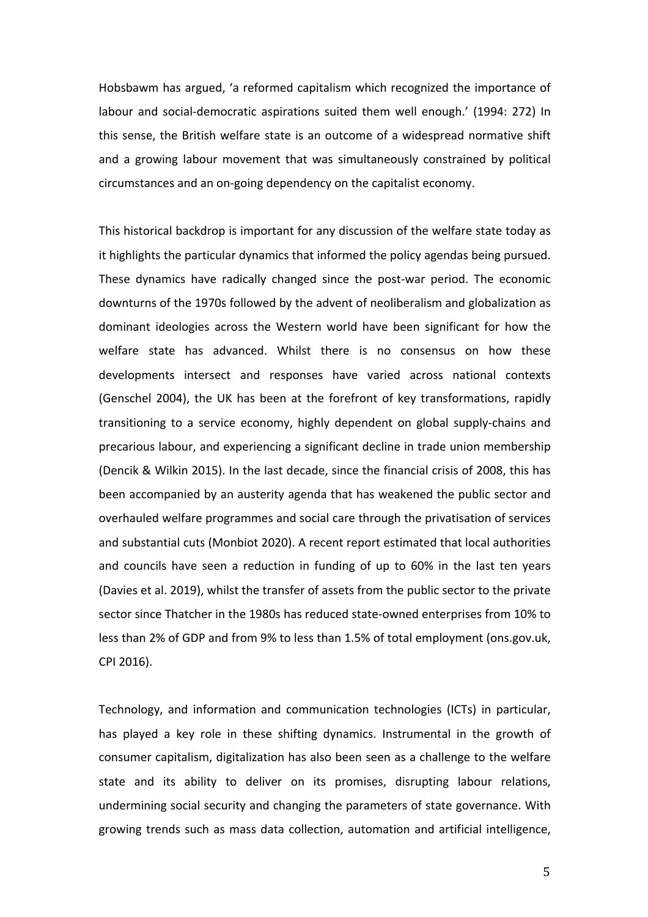Hobsbawm has argued, 'a reformed capitalism which recognized the importance of labour and social-democratic aspirations suited them well enough.' (1994: 272) In this sense, the British welfare state is an outcome of a widespread normative shift and a growing labour movement that was simultaneously constrained by political circumstances and an on-going dependency on the capitalist economy.

This historical backdrop is important for any discussion of the welfare state today as it highlights the particular dynamics that informed the policy agendas being pursued. These dynamics have radically changed since the post-war period. The economic downturns of the 1970s followed by the advent of neoliberalism and globalization as dominant ideologies across the Western world have been significant for how the welfare state has advanced. Whilst there is no consensus on how these developments intersect and responses have varied across national contexts (Genschel 2004), the UK has been at the forefront of key transformations, rapidly transitioning to a service economy, highly dependent on global supply-chains and precarious labour, and experiencing a significant decline in trade union membership (Dencik & Wilkin 2015). In the last decade, since the financial crisis of 2008, this has been accompanied by an austerity agenda that has weakened the public sector and overhauled welfare programmes and social care through the privatisation of services and substantial cuts (Monbiot 2020). A recent report estimated that local authorities and councils have seen a reduction in funding of up to 60% in the last ten years (Davies et al. 2019), whilst the transfer of assets from the public sector to the private sector since Thatcher in the 1980s has reduced state-owned enterprises from 10% to less than 2% of GDP and from 9% to less than 1.5% of total employment (ons.gov.uk, CPI 2016).

Technology, and information and communication technologies (ICTs) in particular, has played a key role in these shifting dynamics. Instrumental in the growth of consumer capitalism, digitalization has also been seen as a challenge to the welfare state and its ability to deliver on its promises, disrupting labour relations, undermining social security and changing the parameters of state governance. With growing trends such as mass data collection, automation and artificial intelligence,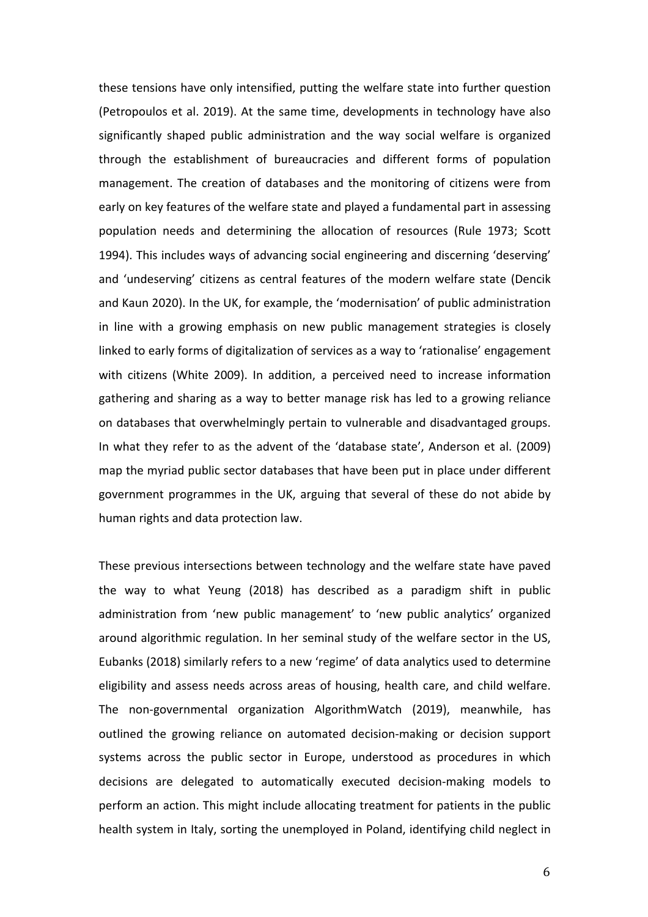these tensions have only intensified, putting the welfare state into further question (Petropoulos et al. 2019). At the same time, developments in technology have also significantly shaped public administration and the way social welfare is organized through the establishment of bureaucracies and different forms of population management. The creation of databases and the monitoring of citizens were from early on key features of the welfare state and played a fundamental part in assessing population needs and determining the allocation of resources (Rule 1973; Scott 1994). This includes ways of advancing social engineering and discerning 'deserving' and 'undeserving' citizens as central features of the modern welfare state (Dencik and Kaun 2020). In the UK, for example, the 'modernisation' of public administration in line with a growing emphasis on new public management strategies is closely linked to early forms of digitalization of services as a way to 'rationalise' engagement with citizens (White 2009). In addition, a perceived need to increase information gathering and sharing as a way to better manage risk has led to a growing reliance on databases that overwhelmingly pertain to vulnerable and disadvantaged groups. In what they refer to as the advent of the 'database state', Anderson et al. (2009) map the myriad public sector databases that have been put in place under different government programmes in the UK, arguing that several of these do not abide by human rights and data protection law.

These previous intersections between technology and the welfare state have paved the way to what Yeung (2018) has described as a paradigm shift in public administration from 'new public management' to 'new public analytics' organized around algorithmic regulation. In her seminal study of the welfare sector in the US, Eubanks (2018) similarly refers to a new 'regime' of data analytics used to determine eligibility and assess needs across areas of housing, health care, and child welfare. The non-governmental organization AlgorithmWatch (2019), meanwhile, has outlined the growing reliance on automated decision-making or decision support systems across the public sector in Europe, understood as procedures in which decisions are delegated to automatically executed decision-making models to perform an action. This might include allocating treatment for patients in the public health system in Italy, sorting the unemployed in Poland, identifying child neglect in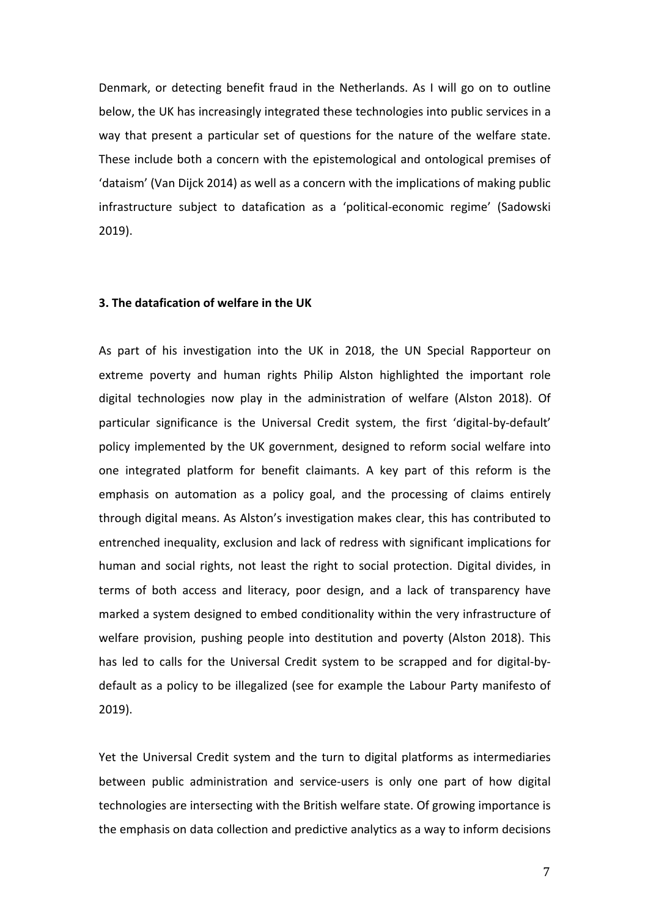Denmark, or detecting benefit fraud in the Netherlands. As I will go on to outline below, the UK has increasingly integrated these technologies into public services in a way that present a particular set of questions for the nature of the welfare state. These include both a concern with the epistemological and ontological premises of 'dataism' (Van Dijck 2014) as well as a concern with the implications of making public infrastructure subject to datafication as a 'political-economic regime' (Sadowski 2019).

#### **3. The datafication of welfare in the UK**

As part of his investigation into the UK in 2018, the UN Special Rapporteur on extreme poverty and human rights Philip Alston highlighted the important role digital technologies now play in the administration of welfare (Alston 2018). Of particular significance is the Universal Credit system, the first 'digital-by-default' policy implemented by the UK government, designed to reform social welfare into one integrated platform for benefit claimants. A key part of this reform is the emphasis on automation as a policy goal, and the processing of claims entirely through digital means. As Alston's investigation makes clear, this has contributed to entrenched inequality, exclusion and lack of redress with significant implications for human and social rights, not least the right to social protection. Digital divides, in terms of both access and literacy, poor design, and a lack of transparency have marked a system designed to embed conditionality within the very infrastructure of welfare provision, pushing people into destitution and poverty (Alston 2018). This has led to calls for the Universal Credit system to be scrapped and for digital-bydefault as a policy to be illegalized (see for example the Labour Party manifesto of 2019).

Yet the Universal Credit system and the turn to digital platforms as intermediaries between public administration and service-users is only one part of how digital technologies are intersecting with the British welfare state. Of growing importance is the emphasis on data collection and predictive analytics as a way to inform decisions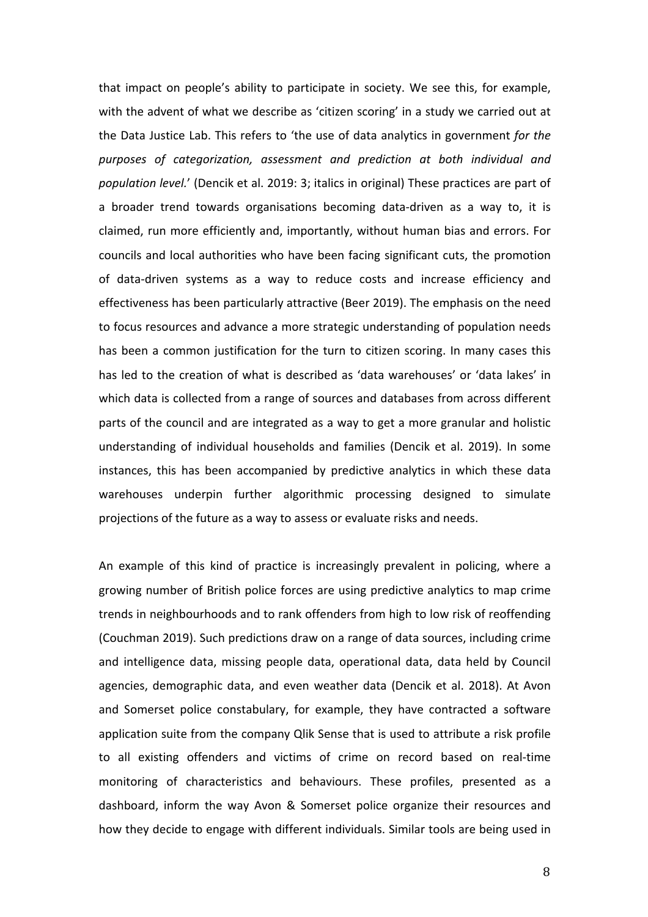that impact on people's ability to participate in society. We see this, for example, with the advent of what we describe as 'citizen scoring' in a study we carried out at the Data Justice Lab. This refers to 'the use of data analytics in government *for the purposes of categorization, assessment and prediction at both individual and population level.*' (Dencik et al. 2019: 3; italics in original) These practices are part of a broader trend towards organisations becoming data-driven as a way to, it is claimed, run more efficiently and, importantly, without human bias and errors. For councils and local authorities who have been facing significant cuts, the promotion of data-driven systems as a way to reduce costs and increase efficiency and effectiveness has been particularly attractive (Beer 2019). The emphasis on the need to focus resources and advance a more strategic understanding of population needs has been a common justification for the turn to citizen scoring. In many cases this has led to the creation of what is described as 'data warehouses' or 'data lakes' in which data is collected from a range of sources and databases from across different parts of the council and are integrated as a way to get a more granular and holistic understanding of individual households and families (Dencik et al. 2019). In some instances, this has been accompanied by predictive analytics in which these data warehouses underpin further algorithmic processing designed to simulate projections of the future as a way to assess or evaluate risks and needs.

An example of this kind of practice is increasingly prevalent in policing, where a growing number of British police forces are using predictive analytics to map crime trends in neighbourhoods and to rank offenders from high to low risk of reoffending (Couchman 2019). Such predictions draw on a range of data sources, including crime and intelligence data, missing people data, operational data, data held by Council agencies, demographic data, and even weather data (Dencik et al. 2018). At Avon and Somerset police constabulary, for example, they have contracted a software application suite from the company Qlik Sense that is used to attribute a risk profile to all existing offenders and victims of crime on record based on real-time monitoring of characteristics and behaviours. These profiles, presented as a dashboard, inform the way Avon & Somerset police organize their resources and how they decide to engage with different individuals. Similar tools are being used in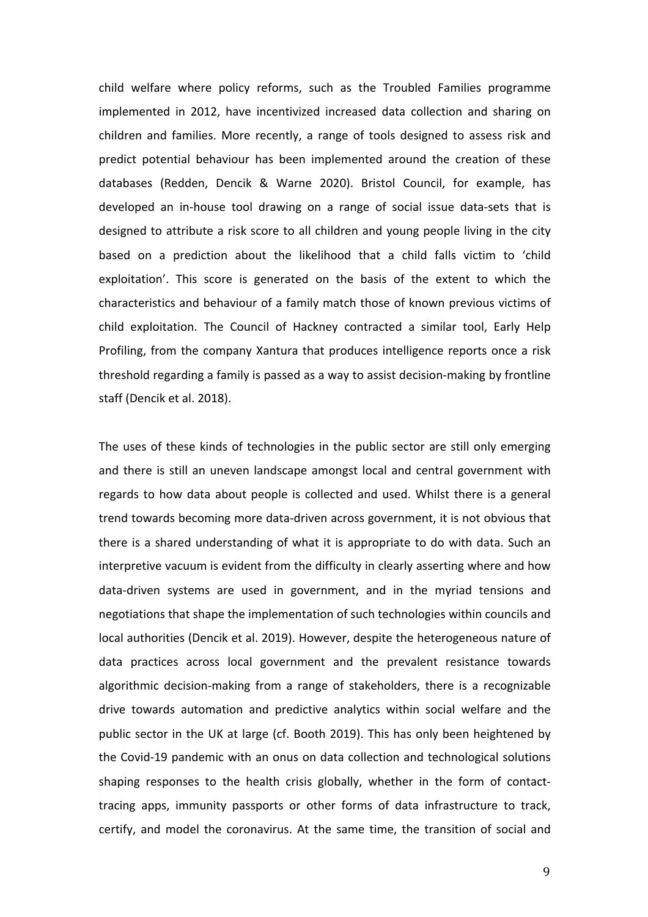child welfare where policy reforms, such as the Troubled Families programme implemented in 2012, have incentivized increased data collection and sharing on children and families. More recently, a range of tools designed to assess risk and predict potential behaviour has been implemented around the creation of these databases (Redden, Dencik & Warne 2020). Bristol Council, for example, has developed an in-house tool drawing on a range of social issue data-sets that is designed to attribute a risk score to all children and young people living in the city based on a prediction about the likelihood that a child falls victim to 'child exploitation'. This score is generated on the basis of the extent to which the characteristics and behaviour of a family match those of known previous victims of child exploitation. The Council of Hackney contracted a similar tool, Early Help Profiling, from the company Xantura that produces intelligence reports once a risk threshold regarding a family is passed as a way to assist decision-making by frontline staff (Dencik et al. 2018).

The uses of these kinds of technologies in the public sector are still only emerging and there is still an uneven landscape amongst local and central government with regards to how data about people is collected and used. Whilst there is a general trend towards becoming more data-driven across government, it is not obvious that there is a shared understanding of what it is appropriate to do with data. Such an interpretive vacuum is evident from the difficulty in clearly asserting where and how data-driven systems are used in government, and in the myriad tensions and negotiations that shape the implementation of such technologies within councils and local authorities (Dencik et al. 2019). However, despite the heterogeneous nature of data practices across local government and the prevalent resistance towards algorithmic decision-making from a range of stakeholders, there is a recognizable drive towards automation and predictive analytics within social welfare and the public sector in the UK at large (cf. Booth 2019). This has only been heightened by the Covid-19 pandemic with an onus on data collection and technological solutions shaping responses to the health crisis globally, whether in the form of contacttracing apps, immunity passports or other forms of data infrastructure to track, certify, and model the coronavirus. At the same time, the transition of social and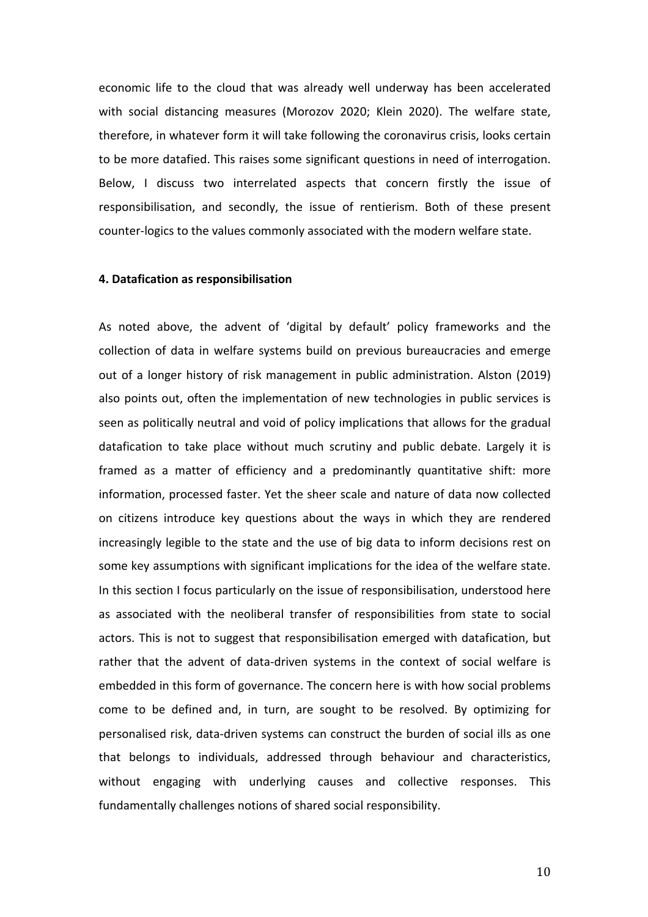economic life to the cloud that was already well underway has been accelerated with social distancing measures (Morozov 2020; Klein 2020). The welfare state, therefore, in whatever form it will take following the coronavirus crisis, looks certain to be more datafied. This raises some significant questions in need of interrogation. Below, I discuss two interrelated aspects that concern firstly the issue of responsibilisation, and secondly, the issue of rentierism. Both of these present counter-logics to the values commonly associated with the modern welfare state.

#### **4. Datafication as responsibilisation**

As noted above, the advent of 'digital by default' policy frameworks and the collection of data in welfare systems build on previous bureaucracies and emerge out of a longer history of risk management in public administration. Alston (2019) also points out, often the implementation of new technologies in public services is seen as politically neutral and void of policy implications that allows for the gradual datafication to take place without much scrutiny and public debate. Largely it is framed as a matter of efficiency and a predominantly quantitative shift: more information, processed faster. Yet the sheer scale and nature of data now collected on citizens introduce key questions about the ways in which they are rendered increasingly legible to the state and the use of big data to inform decisions rest on some key assumptions with significant implications for the idea of the welfare state. In this section I focus particularly on the issue of responsibilisation, understood here as associated with the neoliberal transfer of responsibilities from state to social actors. This is not to suggest that responsibilisation emerged with datafication, but rather that the advent of data-driven systems in the context of social welfare is embedded in this form of governance. The concern here is with how social problems come to be defined and, in turn, are sought to be resolved. By optimizing for personalised risk, data-driven systems can construct the burden of social ills as one that belongs to individuals, addressed through behaviour and characteristics, without engaging with underlying causes and collective responses. This fundamentally challenges notions of shared social responsibility.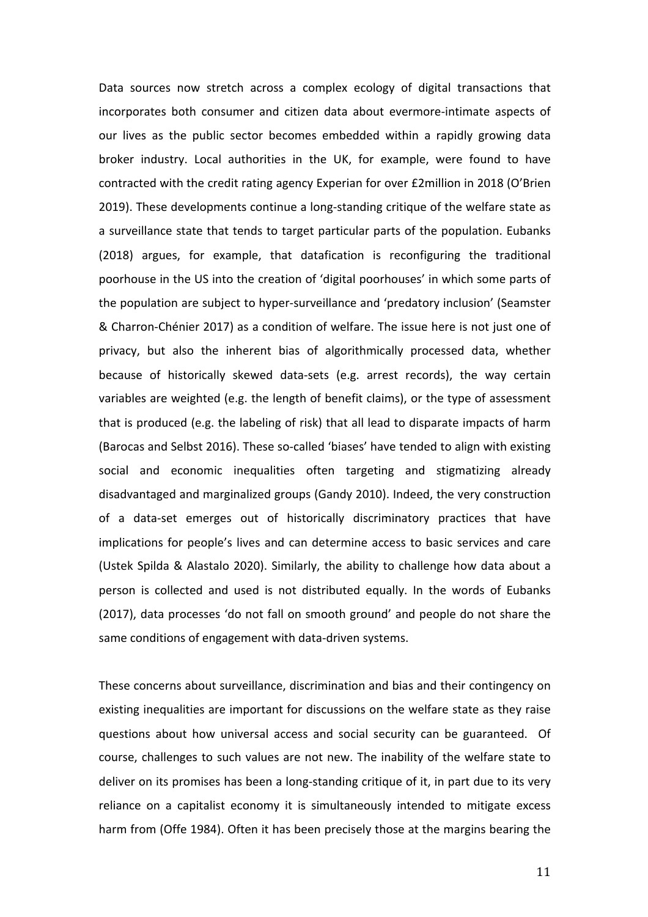Data sources now stretch across a complex ecology of digital transactions that incorporates both consumer and citizen data about evermore-intimate aspects of our lives as the public sector becomes embedded within a rapidly growing data broker industry. Local authorities in the UK, for example, were found to have contracted with the credit rating agency Experian for over £2million in 2018 (O'Brien 2019). These developments continue a long-standing critique of the welfare state as a surveillance state that tends to target particular parts of the population. Eubanks (2018) argues, for example, that datafication is reconfiguring the traditional poorhouse in the US into the creation of 'digital poorhouses' in which some parts of the population are subject to hyper-surveillance and 'predatory inclusion' (Seamster & Charron-Chénier 2017) as a condition of welfare. The issue here is not just one of privacy, but also the inherent bias of algorithmically processed data, whether because of historically skewed data-sets (e.g. arrest records), the way certain variables are weighted (e.g. the length of benefit claims), or the type of assessment that is produced (e.g. the labeling of risk) that all lead to disparate impacts of harm (Barocas and Selbst 2016). These so-called 'biases' have tended to align with existing social and economic inequalities often targeting and stigmatizing already disadvantaged and marginalized groups (Gandy 2010). Indeed, the very construction of a data-set emerges out of historically discriminatory practices that have implications for people's lives and can determine access to basic services and care (Ustek Spilda & Alastalo 2020). Similarly, the ability to challenge how data about a person is collected and used is not distributed equally. In the words of Eubanks (2017), data processes 'do not fall on smooth ground' and people do not share the same conditions of engagement with data-driven systems.

These concerns about surveillance, discrimination and bias and their contingency on existing inequalities are important for discussions on the welfare state as they raise questions about how universal access and social security can be guaranteed. Of course, challenges to such values are not new. The inability of the welfare state to deliver on its promises has been a long-standing critique of it, in part due to its very reliance on a capitalist economy it is simultaneously intended to mitigate excess harm from (Offe 1984). Often it has been precisely those at the margins bearing the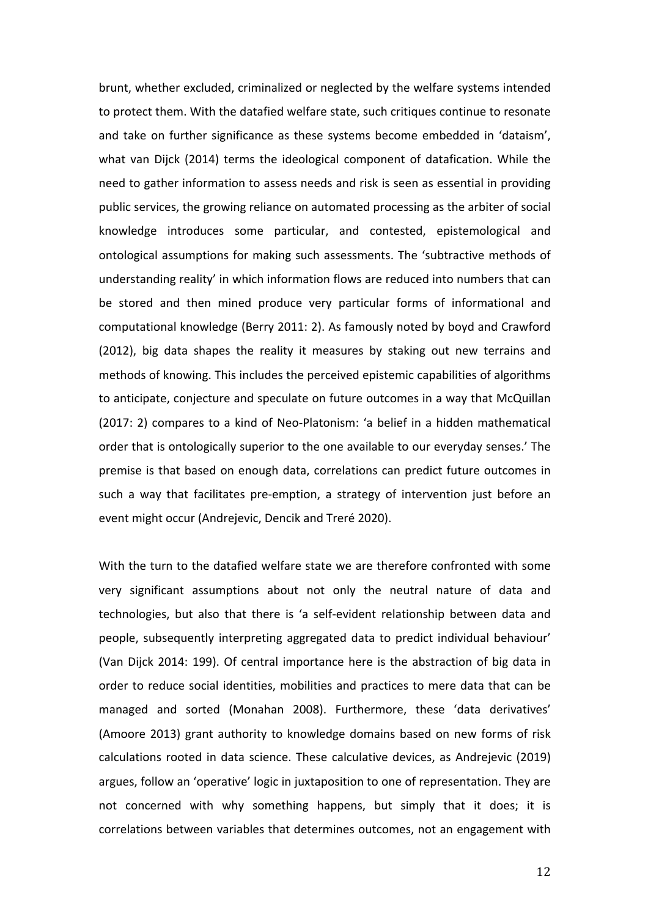brunt, whether excluded, criminalized or neglected by the welfare systems intended to protect them. With the datafied welfare state, such critiques continue to resonate and take on further significance as these systems become embedded in 'dataism', what van Dijck (2014) terms the ideological component of datafication. While the need to gather information to assess needs and risk is seen as essential in providing public services, the growing reliance on automated processing as the arbiter of social knowledge introduces some particular, and contested, epistemological and ontological assumptions for making such assessments. The 'subtractive methods of understanding reality' in which information flows are reduced into numbers that can be stored and then mined produce very particular forms of informational and computational knowledge (Berry 2011: 2). As famously noted by boyd and Crawford (2012), big data shapes the reality it measures by staking out new terrains and methods of knowing. This includes the perceived epistemic capabilities of algorithms to anticipate, conjecture and speculate on future outcomes in a way that McQuillan (2017: 2) compares to a kind of Neo-Platonism: 'a belief in a hidden mathematical order that is ontologically superior to the one available to our everyday senses.' The premise is that based on enough data, correlations can predict future outcomes in such a way that facilitates pre-emption, a strategy of intervention just before an event might occur (Andrejevic, Dencik and Treré 2020).

With the turn to the datafied welfare state we are therefore confronted with some very significant assumptions about not only the neutral nature of data and technologies, but also that there is 'a self-evident relationship between data and people, subsequently interpreting aggregated data to predict individual behaviour' (Van Dijck 2014: 199). Of central importance here is the abstraction of big data in order to reduce social identities, mobilities and practices to mere data that can be managed and sorted (Monahan 2008). Furthermore, these 'data derivatives' (Amoore 2013) grant authority to knowledge domains based on new forms of risk calculations rooted in data science. These calculative devices, as Andrejevic (2019) argues, follow an 'operative' logic in juxtaposition to one of representation. They are not concerned with why something happens, but simply that it does; it is correlations between variables that determines outcomes, not an engagement with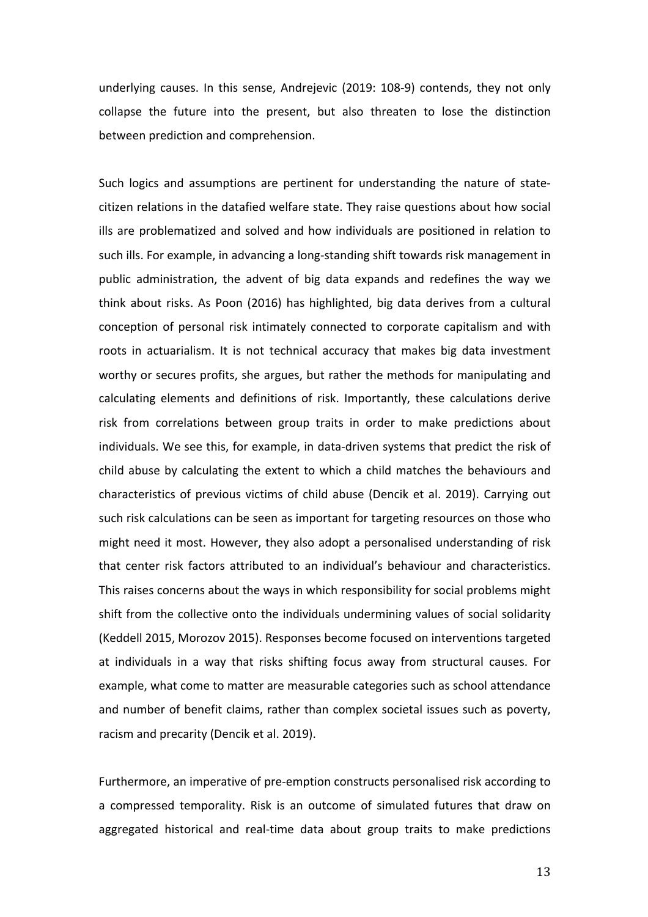underlying causes. In this sense, Andrejevic (2019: 108-9) contends, they not only collapse the future into the present, but also threaten to lose the distinction between prediction and comprehension.

Such logics and assumptions are pertinent for understanding the nature of statecitizen relations in the datafied welfare state. They raise questions about how social ills are problematized and solved and how individuals are positioned in relation to such ills. For example, in advancing a long-standing shift towards risk management in public administration, the advent of big data expands and redefines the way we think about risks. As Poon (2016) has highlighted, big data derives from a cultural conception of personal risk intimately connected to corporate capitalism and with roots in actuarialism. It is not technical accuracy that makes big data investment worthy or secures profits, she argues, but rather the methods for manipulating and calculating elements and definitions of risk. Importantly, these calculations derive risk from correlations between group traits in order to make predictions about individuals. We see this, for example, in data-driven systems that predict the risk of child abuse by calculating the extent to which a child matches the behaviours and characteristics of previous victims of child abuse (Dencik et al. 2019). Carrying out such risk calculations can be seen as important for targeting resources on those who might need it most. However, they also adopt a personalised understanding of risk that center risk factors attributed to an individual's behaviour and characteristics. This raises concerns about the ways in which responsibility for social problems might shift from the collective onto the individuals undermining values of social solidarity (Keddell 2015, Morozov 2015). Responses become focused on interventions targeted at individuals in a way that risks shifting focus away from structural causes. For example, what come to matter are measurable categories such as school attendance and number of benefit claims, rather than complex societal issues such as poverty, racism and precarity (Dencik et al. 2019).

Furthermore, an imperative of pre-emption constructs personalised risk according to a compressed temporality. Risk is an outcome of simulated futures that draw on aggregated historical and real-time data about group traits to make predictions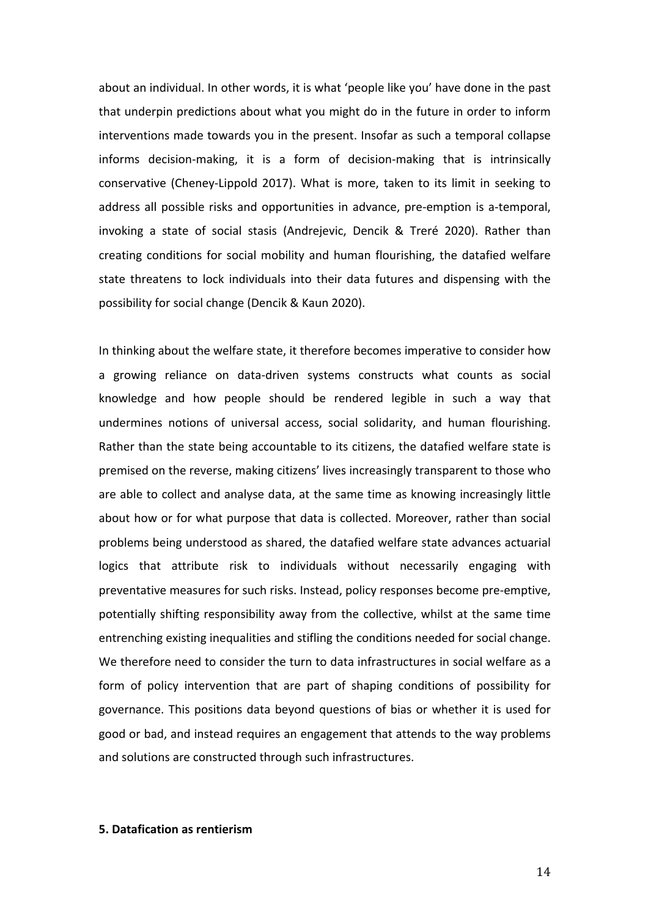about an individual. In other words, it is what 'people like you' have done in the past that underpin predictions about what you might do in the future in order to inform interventions made towards you in the present. Insofar as such a temporal collapse informs decision-making, it is a form of decision-making that is intrinsically conservative (Cheney-Lippold 2017). What is more, taken to its limit in seeking to address all possible risks and opportunities in advance, pre-emption is a-temporal, invoking a state of social stasis (Andrejevic, Dencik & Treré 2020). Rather than creating conditions for social mobility and human flourishing, the datafied welfare state threatens to lock individuals into their data futures and dispensing with the possibility for social change (Dencik & Kaun 2020).

In thinking about the welfare state, it therefore becomes imperative to consider how a growing reliance on data-driven systems constructs what counts as social knowledge and how people should be rendered legible in such a way that undermines notions of universal access, social solidarity, and human flourishing. Rather than the state being accountable to its citizens, the datafied welfare state is premised on the reverse, making citizens' lives increasingly transparent to those who are able to collect and analyse data, at the same time as knowing increasingly little about how or for what purpose that data is collected. Moreover, rather than social problems being understood as shared, the datafied welfare state advances actuarial logics that attribute risk to individuals without necessarily engaging with preventative measures for such risks. Instead, policy responses become pre-emptive, potentially shifting responsibility away from the collective, whilst at the same time entrenching existing inequalities and stifling the conditions needed for social change. We therefore need to consider the turn to data infrastructures in social welfare as a form of policy intervention that are part of shaping conditions of possibility for governance. This positions data beyond questions of bias or whether it is used for good or bad, and instead requires an engagement that attends to the way problems and solutions are constructed through such infrastructures.

#### **5. Datafication as rentierism**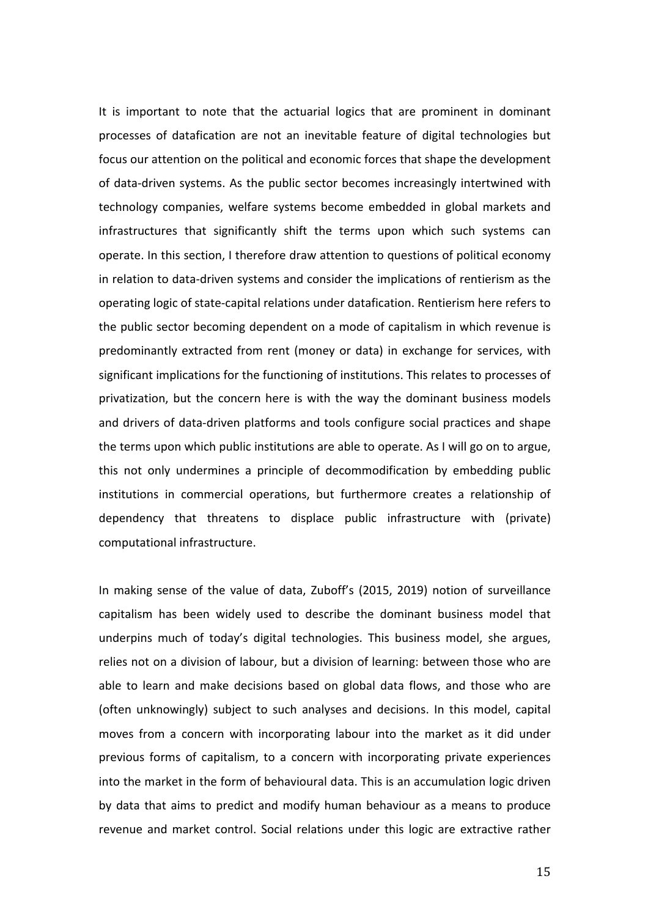It is important to note that the actuarial logics that are prominent in dominant processes of datafication are not an inevitable feature of digital technologies but focus our attention on the political and economic forces that shape the development of data-driven systems. As the public sector becomes increasingly intertwined with technology companies, welfare systems become embedded in global markets and infrastructures that significantly shift the terms upon which such systems can operate. In this section, I therefore draw attention to questions of political economy in relation to data-driven systems and consider the implications of rentierism as the operating logic of state-capital relations under datafication. Rentierism here refers to the public sector becoming dependent on a mode of capitalism in which revenue is predominantly extracted from rent (money or data) in exchange for services, with significant implications for the functioning of institutions. This relates to processes of privatization, but the concern here is with the way the dominant business models and drivers of data-driven platforms and tools configure social practices and shape the terms upon which public institutions are able to operate. As I will go on to argue, this not only undermines a principle of decommodification by embedding public institutions in commercial operations, but furthermore creates a relationship of dependency that threatens to displace public infrastructure with (private) computational infrastructure.

In making sense of the value of data, Zuboff's (2015, 2019) notion of surveillance capitalism has been widely used to describe the dominant business model that underpins much of today's digital technologies. This business model, she argues, relies not on a division of labour, but a division of learning: between those who are able to learn and make decisions based on global data flows, and those who are (often unknowingly) subject to such analyses and decisions. In this model, capital moves from a concern with incorporating labour into the market as it did under previous forms of capitalism, to a concern with incorporating private experiences into the market in the form of behavioural data. This is an accumulation logic driven by data that aims to predict and modify human behaviour as a means to produce revenue and market control. Social relations under this logic are extractive rather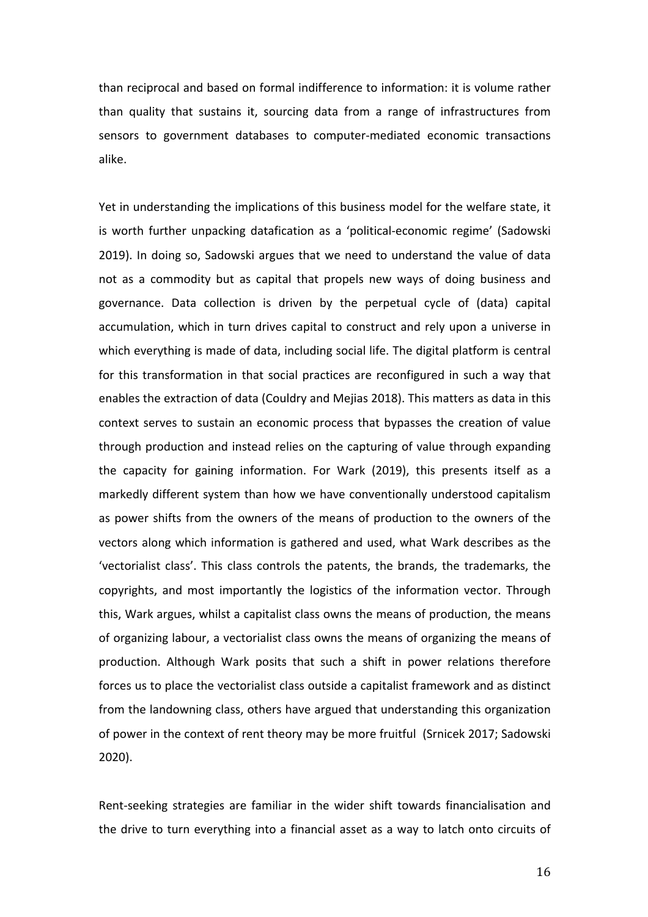than reciprocal and based on formal indifference to information: it is volume rather than quality that sustains it, sourcing data from a range of infrastructures from sensors to government databases to computer-mediated economic transactions alike.

Yet in understanding the implications of this business model for the welfare state, it is worth further unpacking datafication as a 'political-economic regime' (Sadowski 2019). In doing so, Sadowski argues that we need to understand the value of data not as a commodity but as capital that propels new ways of doing business and governance. Data collection is driven by the perpetual cycle of (data) capital accumulation, which in turn drives capital to construct and rely upon a universe in which everything is made of data, including social life. The digital platform is central for this transformation in that social practices are reconfigured in such a way that enables the extraction of data (Couldry and Mejias 2018). This matters as data in this context serves to sustain an economic process that bypasses the creation of value through production and instead relies on the capturing of value through expanding the capacity for gaining information. For Wark (2019), this presents itself as a markedly different system than how we have conventionally understood capitalism as power shifts from the owners of the means of production to the owners of the vectors along which information is gathered and used, what Wark describes as the 'vectorialist class'. This class controls the patents, the brands, the trademarks, the copyrights, and most importantly the logistics of the information vector. Through this, Wark argues, whilst a capitalist class owns the means of production, the means of organizing labour, a vectorialist class owns the means of organizing the means of production. Although Wark posits that such a shift in power relations therefore forces us to place the vectorialist class outside a capitalist framework and as distinct from the landowning class, others have argued that understanding this organization of power in the context of rent theory may be more fruitful (Srnicek 2017; Sadowski 2020).

Rent-seeking strategies are familiar in the wider shift towards financialisation and the drive to turn everything into a financial asset as a way to latch onto circuits of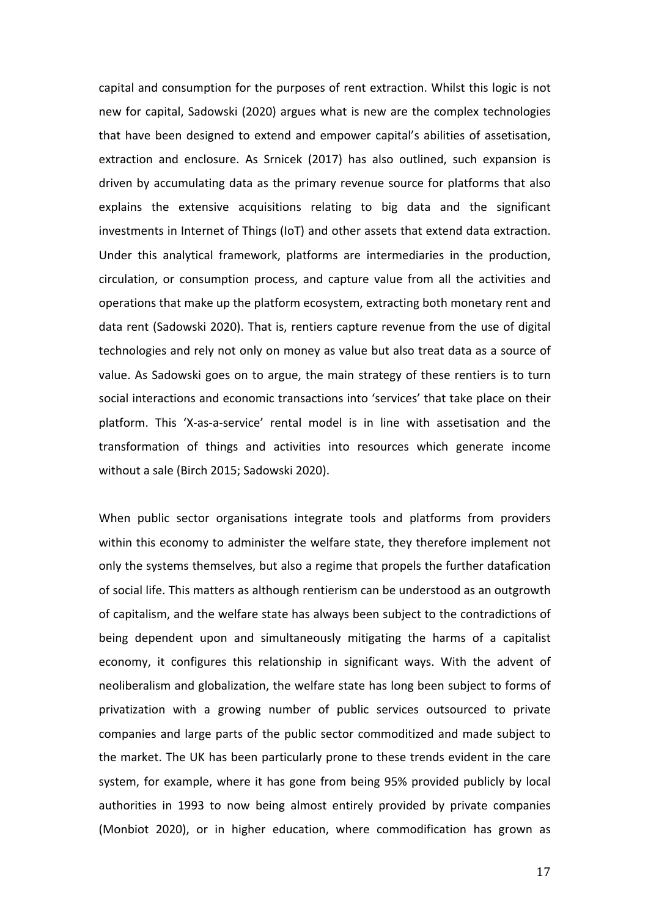capital and consumption for the purposes of rent extraction. Whilst this logic is not new for capital, Sadowski (2020) argues what is new are the complex technologies that have been designed to extend and empower capital's abilities of assetisation, extraction and enclosure. As Srnicek (2017) has also outlined, such expansion is driven by accumulating data as the primary revenue source for platforms that also explains the extensive acquisitions relating to big data and the significant investments in Internet of Things (IoT) and other assets that extend data extraction. Under this analytical framework, platforms are intermediaries in the production, circulation, or consumption process, and capture value from all the activities and operations that make up the platform ecosystem, extracting both monetary rent and data rent (Sadowski 2020). That is, rentiers capture revenue from the use of digital technologies and rely not only on money as value but also treat data as a source of value. As Sadowski goes on to argue, the main strategy of these rentiers is to turn social interactions and economic transactions into 'services' that take place on their platform. This 'X-as-a-service' rental model is in line with assetisation and the transformation of things and activities into resources which generate income without a sale (Birch 2015; Sadowski 2020).

When public sector organisations integrate tools and platforms from providers within this economy to administer the welfare state, they therefore implement not only the systems themselves, but also a regime that propels the further datafication of social life. This matters as although rentierism can be understood as an outgrowth of capitalism, and the welfare state has always been subject to the contradictions of being dependent upon and simultaneously mitigating the harms of a capitalist economy, it configures this relationship in significant ways. With the advent of neoliberalism and globalization, the welfare state has long been subject to forms of privatization with a growing number of public services outsourced to private companies and large parts of the public sector commoditized and made subject to the market. The UK has been particularly prone to these trends evident in the care system, for example, where it has gone from being 95% provided publicly by local authorities in 1993 to now being almost entirely provided by private companies (Monbiot 2020), or in higher education, where commodification has grown as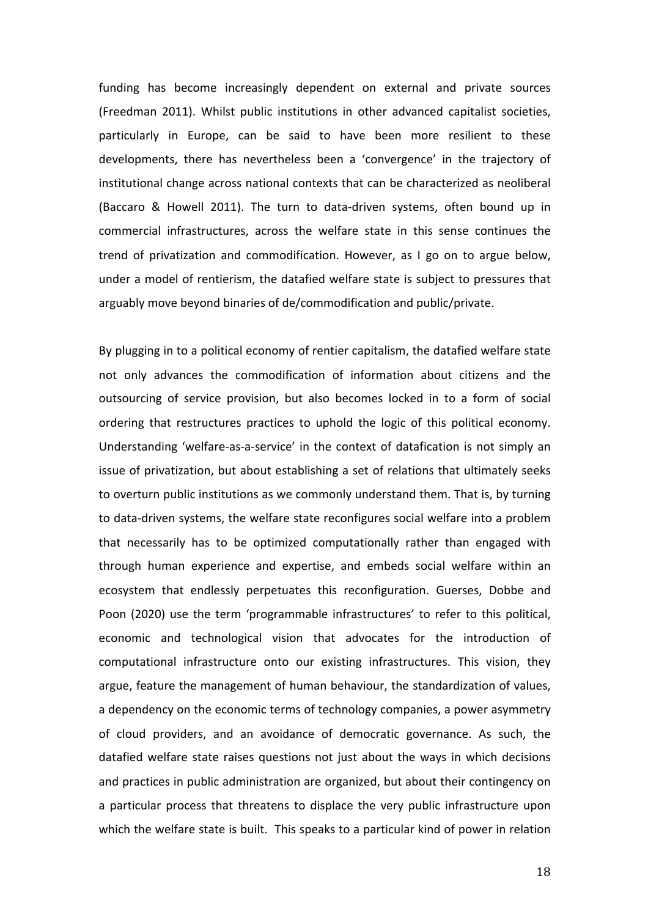funding has become increasingly dependent on external and private sources (Freedman 2011). Whilst public institutions in other advanced capitalist societies, particularly in Europe, can be said to have been more resilient to these developments, there has nevertheless been a 'convergence' in the trajectory of institutional change across national contexts that can be characterized as neoliberal (Baccaro & Howell 2011). The turn to data-driven systems, often bound up in commercial infrastructures, across the welfare state in this sense continues the trend of privatization and commodification. However, as I go on to argue below, under a model of rentierism, the datafied welfare state is subject to pressures that arguably move beyond binaries of de/commodification and public/private.

By plugging in to a political economy of rentier capitalism, the datafied welfare state not only advances the commodification of information about citizens and the outsourcing of service provision, but also becomes locked in to a form of social ordering that restructures practices to uphold the logic of this political economy. Understanding 'welfare-as-a-service' in the context of datafication is not simply an issue of privatization, but about establishing a set of relations that ultimately seeks to overturn public institutions as we commonly understand them. That is, by turning to data-driven systems, the welfare state reconfigures social welfare into a problem that necessarily has to be optimized computationally rather than engaged with through human experience and expertise, and embeds social welfare within an ecosystem that endlessly perpetuates this reconfiguration. Guerses, Dobbe and Poon (2020) use the term 'programmable infrastructures' to refer to this political, economic and technological vision that advocates for the introduction of computational infrastructure onto our existing infrastructures. This vision, they argue, feature the management of human behaviour, the standardization of values, a dependency on the economic terms of technology companies, a power asymmetry of cloud providers, and an avoidance of democratic governance. As such, the datafied welfare state raises questions not just about the ways in which decisions and practices in public administration are organized, but about their contingency on a particular process that threatens to displace the very public infrastructure upon which the welfare state is built. This speaks to a particular kind of power in relation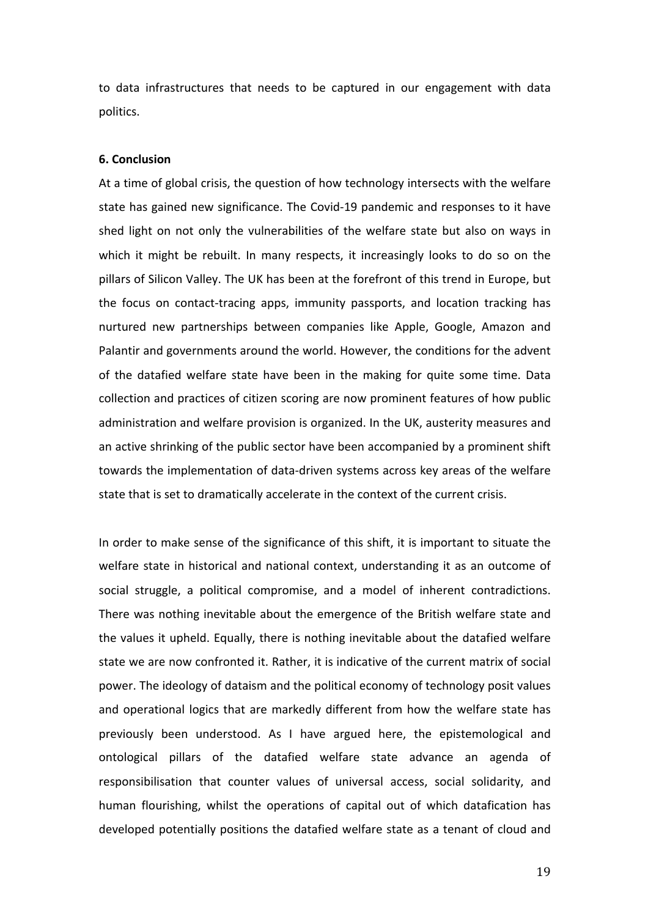to data infrastructures that needs to be captured in our engagement with data politics.

#### **6. Conclusion**

At a time of global crisis, the question of how technology intersects with the welfare state has gained new significance. The Covid-19 pandemic and responses to it have shed light on not only the vulnerabilities of the welfare state but also on ways in which it might be rebuilt. In many respects, it increasingly looks to do so on the pillars of Silicon Valley. The UK has been at the forefront of this trend in Europe, but the focus on contact-tracing apps, immunity passports, and location tracking has nurtured new partnerships between companies like Apple, Google, Amazon and Palantir and governments around the world. However, the conditions for the advent of the datafied welfare state have been in the making for quite some time. Data collection and practices of citizen scoring are now prominent features of how public administration and welfare provision is organized. In the UK, austerity measures and an active shrinking of the public sector have been accompanied by a prominent shift towards the implementation of data-driven systems across key areas of the welfare state that is set to dramatically accelerate in the context of the current crisis.

In order to make sense of the significance of this shift, it is important to situate the welfare state in historical and national context, understanding it as an outcome of social struggle, a political compromise, and a model of inherent contradictions. There was nothing inevitable about the emergence of the British welfare state and the values it upheld. Equally, there is nothing inevitable about the datafied welfare state we are now confronted it. Rather, it is indicative of the current matrix of social power. The ideology of dataism and the political economy of technology posit values and operational logics that are markedly different from how the welfare state has previously been understood. As I have argued here, the epistemological and ontological pillars of the datafied welfare state advance an agenda of responsibilisation that counter values of universal access, social solidarity, and human flourishing, whilst the operations of capital out of which datafication has developed potentially positions the datafied welfare state as a tenant of cloud and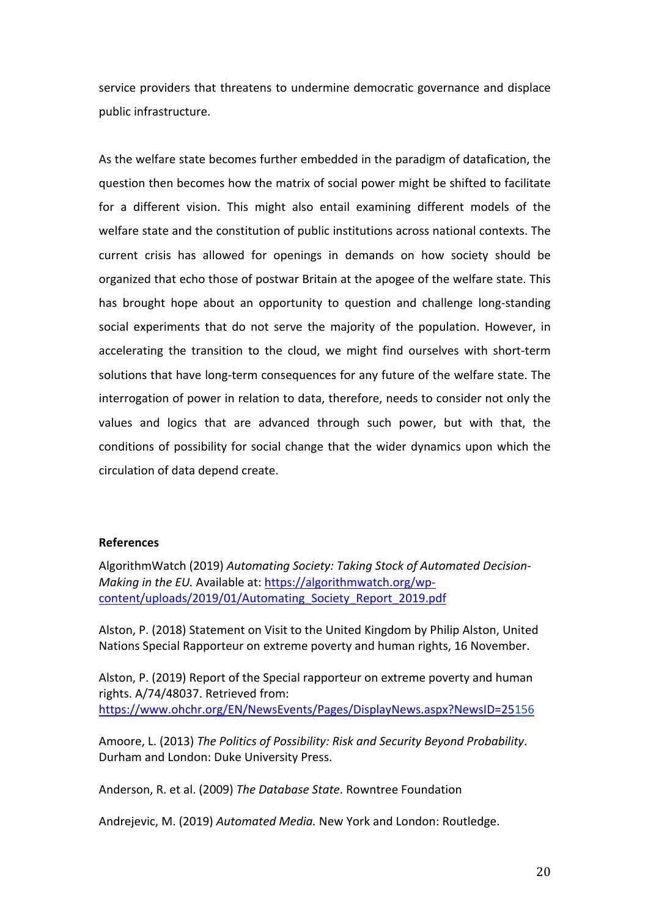service providers that threatens to undermine democratic governance and displace public infrastructure.

As the welfare state becomes further embedded in the paradigm of datafication, the question then becomes how the matrix of social power might be shifted to facilitate for a different vision. This might also entail examining different models of the welfare state and the constitution of public institutions across national contexts. The current crisis has allowed for openings in demands on how society should be organized that echo those of postwar Britain at the apogee of the welfare state. This has brought hope about an opportunity to question and challenge long-standing social experiments that do not serve the majority of the population. However, in accelerating the transition to the cloud, we might find ourselves with short-term solutions that have long-term consequences for any future of the welfare state. The interrogation of power in relation to data, therefore, needs to consider not only the values and logics that are advanced through such power, but with that, the conditions of possibility for social change that the wider dynamics upon which the circulation of data depend create.

### **References**

AlgorithmWatch (2019) *Automating Society: Taking Stock of Automated Decision-Making in the EU.* Available at: https://algorithmwatch.org/wpcontent/uploads/2019/01/Automating\_Society\_Report\_2019.pdf

Alston, P. (2018) Statement on Visit to the United Kingdom by Philip Alston, United Nations Special Rapporteur on extreme poverty and human rights, 16 November.

Alston, P. (2019) Report of the Special rapporteur on extreme poverty and human rights. A/74/48037. Retrieved from: https://www.ohchr.org/EN/NewsEvents/Pages/DisplayNews.aspx?NewsID=25156

Amoore, L. (2013) *The Politics of Possibility: Risk and Security Beyond Probability*. Durham and London: Duke University Press.

Anderson, R. et al. (2009) *The Database State*. Rowntree Foundation

Andrejevic, M. (2019) *Automated Media.* New York and London: Routledge.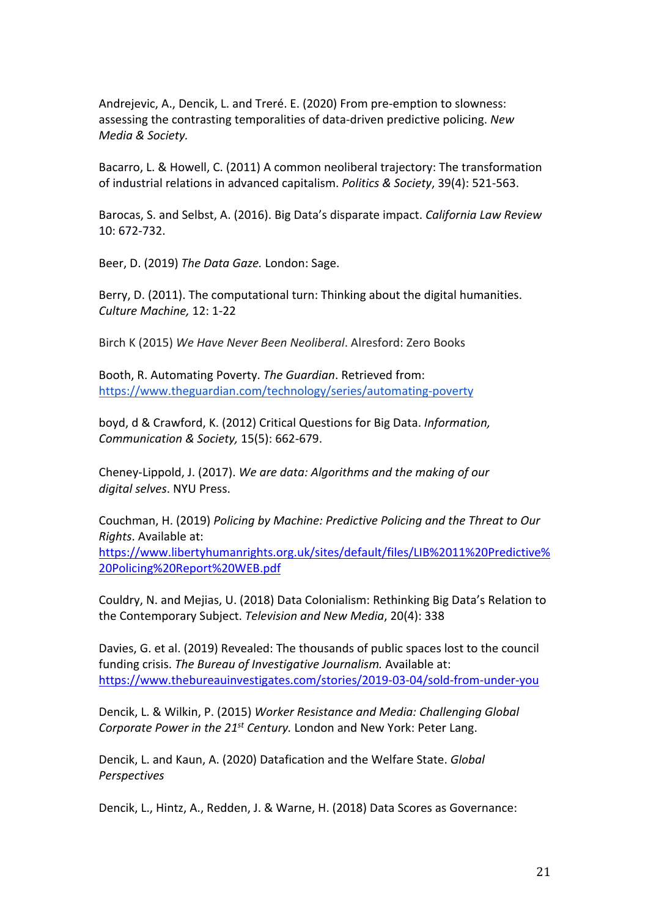Andrejevic, A., Dencik, L. and Treré. E. (2020) From pre-emption to slowness: assessing the contrasting temporalities of data-driven predictive policing. *New Media & Society.* 

Bacarro, L. & Howell, C. (2011) A common neoliberal trajectory: The transformation of industrial relations in advanced capitalism. *Politics & Society*, 39(4): 521-563.

Barocas, S. and Selbst, A. (2016). Big Data's disparate impact. *California Law Review* 10: 672-732.

Beer, D. (2019) *The Data Gaze.* London: Sage.

Berry, D. (2011). The computational turn: Thinking about the digital humanities. *Culture Machine,* 12: 1-22

Birch K (2015) *We Have Never Been Neoliberal*. Alresford: Zero Books

Booth, R. Automating Poverty. *The Guardian*. Retrieved from: https://www.theguardian.com/technology/series/automating-poverty

boyd, d & Crawford, K. (2012) Critical Questions for Big Data. *Information, Communication & Society,* 15(5): 662-679.

Cheney-Lippold, J. (2017). *We are data: Algorithms and the making of our digital selves*. NYU Press.

Couchman, H. (2019) *Policing by Machine: Predictive Policing and the Threat to Our Rights*. Available at:

https://www.libertyhumanrights.org.uk/sites/default/files/LIB%2011%20Predictive% 20Policing%20Report%20WEB.pdf

Couldry, N. and Mejias, U. (2018) Data Colonialism: Rethinking Big Data's Relation to the Contemporary Subject. *Television and New Media*, 20(4): 338

Davies, G. et al. (2019) Revealed: The thousands of public spaces lost to the council funding crisis. *The Bureau of Investigative Journalism.* Available at: https://www.thebureauinvestigates.com/stories/2019-03-04/sold-from-under-you

Dencik, L. & Wilkin, P. (2015) *Worker Resistance and Media: Challenging Global Corporate Power in the 21st Century.* London and New York: Peter Lang.

Dencik, L. and Kaun, A. (2020) Datafication and the Welfare State. *Global Perspectives* 

Dencik, L., Hintz, A., Redden, J. & Warne, H. (2018) Data Scores as Governance: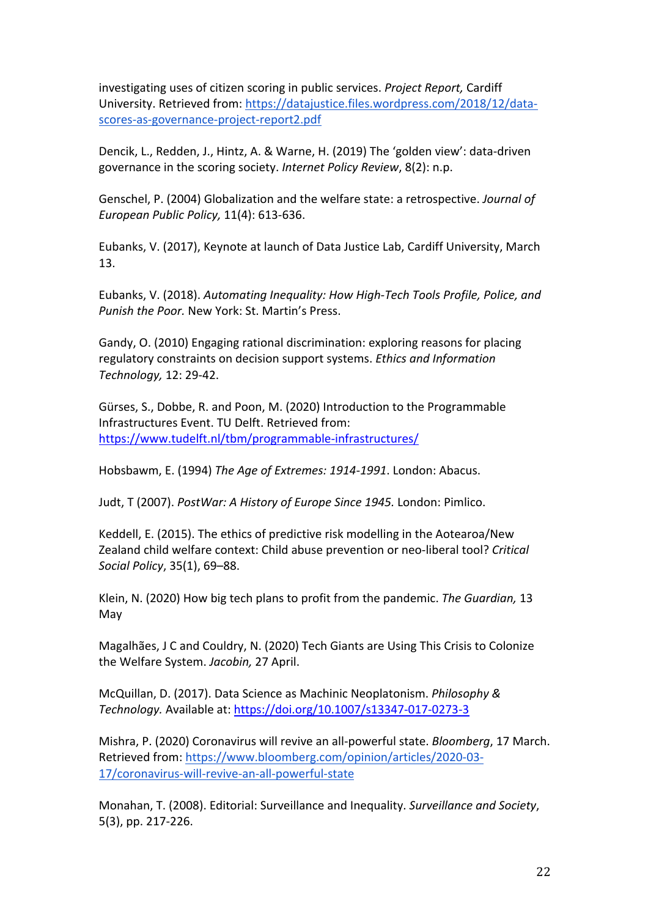investigating uses of citizen scoring in public services. *Project Report,* Cardiff University. Retrieved from: https://datajustice.files.wordpress.com/2018/12/datascores-as-governance-project-report2.pdf

Dencik, L., Redden, J., Hintz, A. & Warne, H. (2019) The 'golden view': data-driven governance in the scoring society. *Internet Policy Review*, 8(2): n.p.

Genschel, P. (2004) Globalization and the welfare state: a retrospective. *Journal of European Public Policy,* 11(4): 613-636.

Eubanks, V. (2017), Keynote at launch of Data Justice Lab, Cardiff University, March 13.

Eubanks, V. (2018). *Automating Inequality: How High-Tech Tools Profile, Police, and Punish the Poor.* New York: St. Martin's Press.

Gandy, O. (2010) Engaging rational discrimination: exploring reasons for placing regulatory constraints on decision support systems. *Ethics and Information Technology,* 12: 29-42.

Gürses, S., Dobbe, R. and Poon, M. (2020) Introduction to the Programmable Infrastructures Event. TU Delft. Retrieved from: https://www.tudelft.nl/tbm/programmable-infrastructures/

Hobsbawm, E. (1994) *The Age of Extremes: 1914-1991*. London: Abacus.

Judt, T (2007). *PostWar: A History of Europe Since 1945.* London: Pimlico.

Keddell, E. (2015). The ethics of predictive risk modelling in the Aotearoa/New Zealand child welfare context: Child abuse prevention or neo-liberal tool? *Critical Social Policy*, 35(1), 69–88.

Klein, N. (2020) How big tech plans to profit from the pandemic. *The Guardian,* 13 May

Magalhães, J C and Couldry, N. (2020) Tech Giants are Using This Crisis to Colonize the Welfare System. *Jacobin,* 27 April.

McQuillan, D. (2017). Data Science as Machinic Neoplatonism. *Philosophy & Technology.* Available at: https://doi.org/10.1007/s13347-017-0273-3

Mishra, P. (2020) Coronavirus will revive an all-powerful state. *Bloomberg*, 17 March. Retrieved from: https://www.bloomberg.com/opinion/articles/2020-03- 17/coronavirus-will-revive-an-all-powerful-state

Monahan, T. (2008). Editorial: Surveillance and Inequality. *Surveillance and Society*, 5(3), pp. 217-226.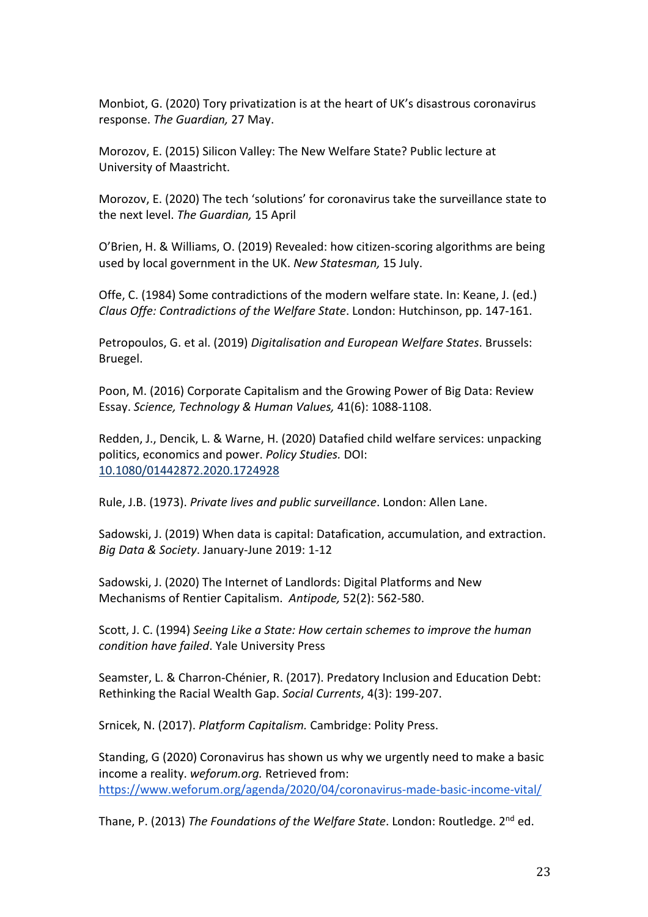Monbiot, G. (2020) Tory privatization is at the heart of UK's disastrous coronavirus response. *The Guardian,* 27 May.

Morozov, E. (2015) Silicon Valley: The New Welfare State? Public lecture at University of Maastricht.

Morozov, E. (2020) The tech 'solutions' for coronavirus take the surveillance state to the next level. *The Guardian,* 15 April

O'Brien, H. & Williams, O. (2019) Revealed: how citizen-scoring algorithms are being used by local government in the UK. *New Statesman,* 15 July.

Offe, C. (1984) Some contradictions of the modern welfare state. In: Keane, J. (ed.) *Claus Offe: Contradictions of the Welfare State*. London: Hutchinson, pp. 147-161.

Petropoulos, G. et al. (2019) *Digitalisation and European Welfare States*. Brussels: Bruegel.

Poon, M. (2016) Corporate Capitalism and the Growing Power of Big Data: Review Essay. *Science, Technology & Human Values,* 41(6): 1088-1108.

Redden, J., Dencik, L. & Warne, H. (2020) Datafied child welfare services: unpacking politics, economics and power. *Policy Studies.* DOI: 10.1080/01442872.2020.1724928

Rule, J.B. (1973). *Private lives and public surveillance*. London: Allen Lane.

Sadowski, J. (2019) When data is capital: Datafication, accumulation, and extraction. *Big Data & Society*. January-June 2019: 1-12

Sadowski, J. (2020) The Internet of Landlords: Digital Platforms and New Mechanisms of Rentier Capitalism. *Antipode,* 52(2): 562-580.

Scott, J. C. (1994) *Seeing Like a State: How certain schemes to improve the human condition have failed*. Yale University Press

Seamster, L. & Charron-Chénier, R. (2017). Predatory Inclusion and Education Debt: Rethinking the Racial Wealth Gap. *Social Currents*, 4(3): 199-207.

Srnicek, N. (2017). *Platform Capitalism.* Cambridge: Polity Press.

Standing, G (2020) Coronavirus has shown us why we urgently need to make a basic income a reality. *weforum.org.* Retrieved from: https://www.weforum.org/agenda/2020/04/coronavirus-made-basic-income-vital/

Thane, P. (2013) *The Foundations of the Welfare State*. London: Routledge. 2nd ed.